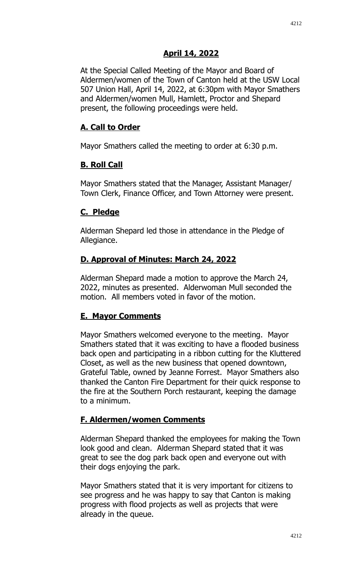# **April 14, 2022**

At the Special Called Meeting of the Mayor and Board of Aldermen/women of the Town of Canton held at the USW Local 507 Union Hall, April 14, 2022, at 6:30pm with Mayor Smathers and Aldermen/women Mull, Hamlett, Proctor and Shepard present, the following proceedings were held.

### **A. Call to Order**

Mayor Smathers called the meeting to order at 6:30 p.m.

#### **B. Roll Call**

Mayor Smathers stated that the Manager, Assistant Manager/ Town Clerk, Finance Officer, and Town Attorney were present.

#### **C. Pledge**

Alderman Shepard led those in attendance in the Pledge of Allegiance.

# **D. Approval of Minutes: March 24, 2022**

Alderman Shepard made a motion to approve the March 24, 2022, minutes as presented. Alderwoman Mull seconded the motion. All members voted in favor of the motion.

# **E. Mayor Comments**

Mayor Smathers welcomed everyone to the meeting. Mayor Smathers stated that it was exciting to have a flooded business back open and participating in a ribbon cutting for the Kluttered Closet, as well as the new business that opened downtown, Grateful Table, owned by Jeanne Forrest. Mayor Smathers also thanked the Canton Fire Department for their quick response to the fire at the Southern Porch restaurant, keeping the damage to a minimum.

# **F. Aldermen/women Comments**

Alderman Shepard thanked the employees for making the Town look good and clean. Alderman Shepard stated that it was great to see the dog park back open and everyone out with their dogs enjoying the park.

Mayor Smathers stated that it is very important for citizens to see progress and he was happy to say that Canton is making progress with flood projects as well as projects that were already in the queue.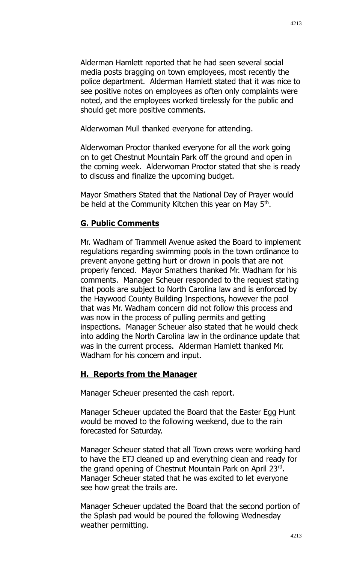Alderman Hamlett reported that he had seen several social media posts bragging on town employees, most recently the police department. Alderman Hamlett stated that it was nice to see positive notes on employees as often only complaints were noted, and the employees worked tirelessly for the public and should get more positive comments.

Alderwoman Mull thanked everyone for attending.

Alderwoman Proctor thanked everyone for all the work going on to get Chestnut Mountain Park off the ground and open in the coming week. Alderwoman Proctor stated that she is ready to discuss and finalize the upcoming budget.

Mayor Smathers Stated that the National Day of Prayer would be held at the Community Kitchen this year on May 5<sup>th</sup>.

# **G. Public Comments**

Mr. Wadham of Trammell Avenue asked the Board to implement regulations regarding swimming pools in the town ordinance to prevent anyone getting hurt or drown in pools that are not properly fenced. Mayor Smathers thanked Mr. Wadham for his comments. Manager Scheuer responded to the request stating that pools are subject to North Carolina law and is enforced by the Haywood County Building Inspections, however the pool that was Mr. Wadham concern did not follow this process and was now in the process of pulling permits and getting inspections. Manager Scheuer also stated that he would check into adding the North Carolina law in the ordinance update that was in the current process. Alderman Hamlett thanked Mr. Wadham for his concern and input.

# **H. Reports from the Manager**

Manager Scheuer presented the cash report.

Manager Scheuer updated the Board that the Easter Egg Hunt would be moved to the following weekend, due to the rain forecasted for Saturday.

Manager Scheuer stated that all Town crews were working hard to have the ETJ cleaned up and everything clean and ready for the grand opening of Chestnut Mountain Park on April 23rd. Manager Scheuer stated that he was excited to let everyone see how great the trails are.

Manager Scheuer updated the Board that the second portion of the Splash pad would be poured the following Wednesday weather permitting.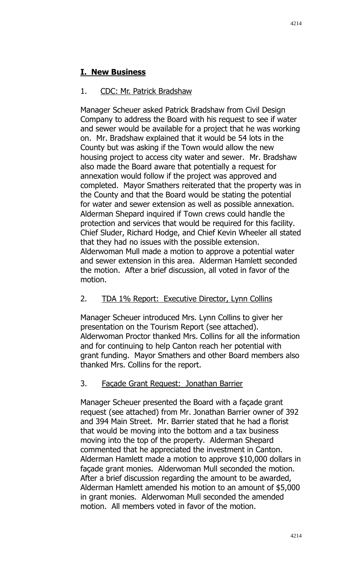# **I. New Business**

# 1. CDC: Mr. Patrick Bradshaw

Manager Scheuer asked Patrick Bradshaw from Civil Design Company to address the Board with his request to see if water and sewer would be available for a project that he was working on. Mr. Bradshaw explained that it would be 54 lots in the County but was asking if the Town would allow the new housing project to access city water and sewer. Mr. Bradshaw also made the Board aware that potentially a request for annexation would follow if the project was approved and completed. Mayor Smathers reiterated that the property was in the County and that the Board would be stating the potential for water and sewer extension as well as possible annexation. Alderman Shepard inquired if Town crews could handle the protection and services that would be required for this facility. Chief Sluder, Richard Hodge, and Chief Kevin Wheeler all stated that they had no issues with the possible extension. Alderwoman Mull made a motion to approve a potential water and sewer extension in this area. Alderman Hamlett seconded the motion. After a brief discussion, all voted in favor of the motion.

# 2. TDA 1% Report: Executive Director, Lynn Collins

Manager Scheuer introduced Mrs. Lynn Collins to giver her presentation on the Tourism Report (see attached). Alderwoman Proctor thanked Mrs. Collins for all the information and for continuing to help Canton reach her potential with grant funding. Mayor Smathers and other Board members also thanked Mrs. Collins for the report.

# 3. Façade Grant Request: Jonathan Barrier

Manager Scheuer presented the Board with a façade grant request (see attached) from Mr. Jonathan Barrier owner of 392 and 394 Main Street. Mr. Barrier stated that he had a florist that would be moving into the bottom and a tax business moving into the top of the property. Alderman Shepard commented that he appreciated the investment in Canton. Alderman Hamlett made a motion to approve \$10,000 dollars in façade grant monies. Alderwoman Mull seconded the motion. After a brief discussion regarding the amount to be awarded, Alderman Hamlett amended his motion to an amount of \$5,000 in grant monies. Alderwoman Mull seconded the amended motion. All members voted in favor of the motion.